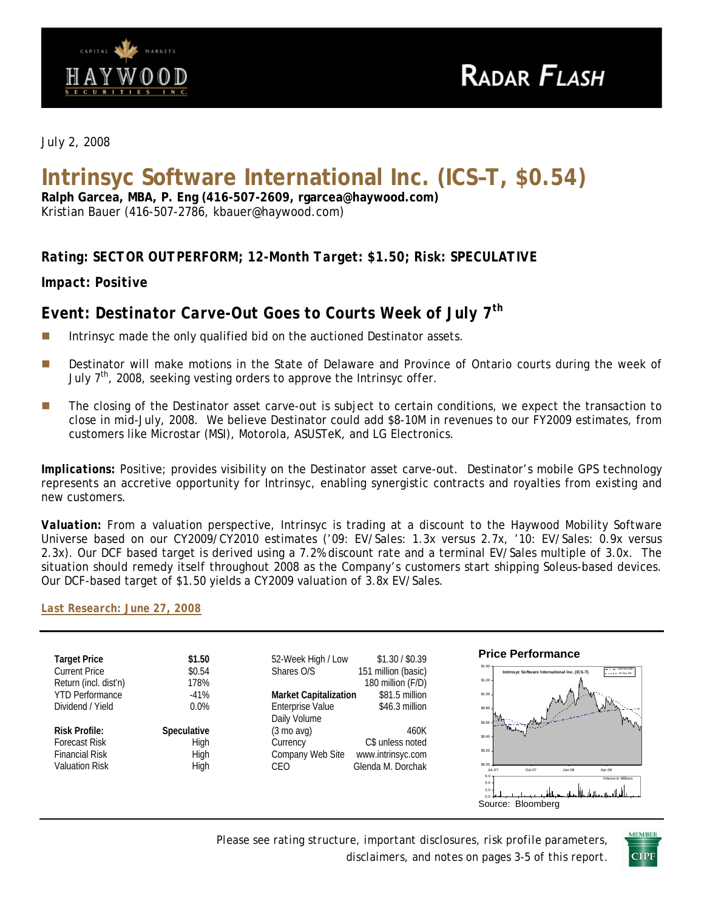

*July 2, 2008* 

# **Intrinsyc Software International Inc. (ICS–T, \$0.54)**

**Ralph Garcea, MBA, P. Eng (416-507-2609, rgarcea@haywood.com)**  Kristian Bauer (416-507-2786, kbauer@haywood.com)

## *Rating: SECTOR OUTPERFORM; 12-Month Target: \$1.50; Risk: SPECULATIVE*

*Impact: Positive* 

# *Event: Destinator Carve-Out Goes to Courts Week of July 7th*

- Intrinsyc made the only qualified bid on the auctioned Destinator assets.
- **Destinator will make motions in the State of Delaware and Province of Ontario courts during the week of** July  $7<sup>th</sup>$ , 2008, seeking vesting orders to approve the Intrinsyc offer.
- **The closing of the Destinator asset carve-out is subject to certain conditions, we expect the transaction to** close in mid-July, 2008. We believe Destinator could add \$8-10M in revenues to our FY2009 estimates, from customers like Microstar (MSI), Motorola, ASUSTeK, and LG Electronics.

*Implications:* Positive; provides visibility on the Destinator asset carve-out. Destinator's mobile GPS technology represents an accretive opportunity for Intrinsyc, enabling synergistic contracts and royalties from existing and new customers.

*Valuation:* From a valuation perspective, Intrinsyc is trading at a discount to the Haywood Mobility Software Universe based on our CY2009/CY2010 estimates ('09: EV/Sales: 1.3x versus 2.7x, '10: EV/Sales: 0.9x versus 2.3x). Our DCF based target is derived using a 7.2% discount rate and a terminal EV/Sales multiple of 3.0x. The situation should remedy itself throughout 2008 as the Company's customers start shipping Soleus-based devices. Our DCF-based target of \$1.50 yields a CY2009 valuation of 3.8x EV/Sales.

#### *[Last Research: June 27, 2008](http://www.haywood.com/pdffiles/ICSJun272008.pdf)*



*Please see rating structure, important disclosures, risk profile parameters, disclaimers, and notes on pages 3-5 of this report*.

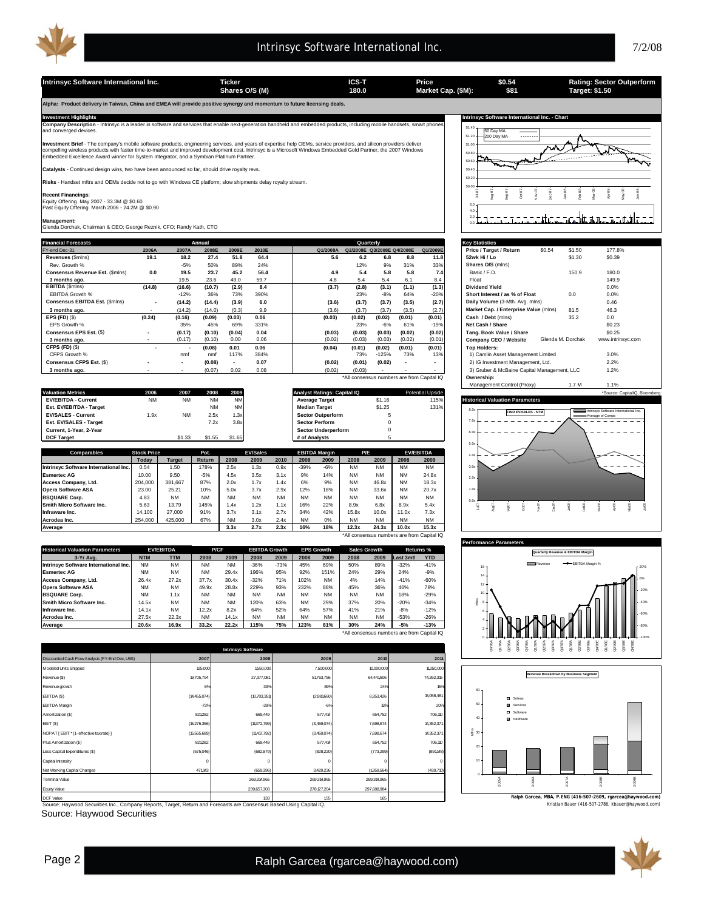

**Intrinsyc Software International Inc. Ticker Ticker ICS-T Price Capacity 180.54 Rating: Sector Outperform**<br> **ICS-T** Price **Software 180.0** Market Cap. (\$M): \$81 **Target: \$1.50 \$0.54 \$81 Shares O/S (M) Market Cap. (\$M): 180.0 Target: \$1.50 Alpha: Product delivery in Taiwan, China and EMEA will provide positive synergy and momentum to future licensing deals.**  Investment Highlights<br>Company Description - Intrinsyc is a leader in software and services that enable next-generation handheld and embedded products, including mobile handsets, smart phones \$1.40 .<br>eraed de 50 Day MA \$1.2 ...... 200 Day MA ≇ \$1.0 **Investment Brief** - The company's mobile software products, engineering services, and years of expertise help OEMs, service providers, and silicon providers deliver<br>compelling wireless products with faster time-to-market Tre \$0.80 m لمهممر \$0.60 \$0.40 s - Continued design wins, two have been announced so far, should drive royalty revs. \$0.20 **Risks** - Handset mftrs and OEMs decide not to go with Windows CE platform; slow shipments delay royalty stream.  $$0.0$ Jul-07 Aug-07 Sep-07 Oct-07 Nov-07 Dec-07 Feb-08 Mar-08 Apr-08 May-08 Jun-08 Jan-08 **Recent Financings**: Equity Offering May 2007 - 33.3M @ \$0.60 Past Equity Offering March 2006 - 24.2M @ \$0.90 6.0  $\equiv$ 4.0 tat. til  $\equiv$ ut d ਟਰੀਜ਼ ਰਾਜ 0.0 2.0 **Management:** Glenda Dorchak, Chairman & CEO; George Reznik, CFO; Randy Kath, CTO **Financial Forecasts Key Statistics Annual Quarterly** FY-end Dec-31 **2006A 2007A 2008E 2009E 2010E Q1/2008A Q2/2008E Q3/2008E Q4/2008E Q1/2009E Price / Target / Return** \$0.54 \$1.50 177.8% **Revenues** (\$mlns) **19.1 18.2 27.4 51.8 64.4 5.6 6.2 6.8 8.8 11.8 52wk Hi / Lo** \$1.30 \$0.39 Rev. Growth % -5% 50% 89% 24% 12% 9% 31% 33% **Shares O/S** (mlns) **Consensus Revenue Est. (\$mlns) 0.0 19.5 23.7 45.2 56.4 4.9 5.4 5.8 5.8 7.4 Basic / F.D. 150.9 180.0 3 months ago.** 19.5 - 19.5 - 23.6 - 49.0 59.7 | 4.8 - 5.4 5.4 5.4 6.1 8.4 | Float 149.9 | Float 149.9 | 149.9 | **EBITDA** (\$mlns) **(14.8) (16.6) (10.7) (2.9) 8.4 (3.7) (2.8) (3.1) (1.1) (1.3) Dividend Yield** 0.0% EBITDA Growth % -12% 36% 73% 390% 23% -8% 64% -20% **Short Interest / as % of Float** 0.0 0.0% **Consensus EBITDA Est.** (\$mlns) **- (14.2) (14.4) (3.9) 6.0 (3.6) (3.7) (3.7) (3.5) (2.7) Daily Volume** (3-Mth. Avg. mlns) 0.46 **3 months ago.** (14.2) - (0.3) (14.0) 9.9 (3.6) (3.7) (3.7) (3.5) (2.7) **Market Cap. / Enterprise Value** (mlns) 81.5 46.3 **EPS (FD)** (\$) **(0.24) (0.16) (0.09) (0.03) 0.06 (0.03) (0.02) (0.02) (0.01) (0.01) Cash / Debt** (mlns) 35.2 0.0 EPS Growth % 35% 45% 69% 331% 23% -6% 61% -19% **Net Cash / Share** \$0.23 **Consensus EPS Est.** (\$) **- (0.17) (0.04) (0.10) 0.04 (0.03) (0.03) (0.03) (0.02) (0.02) Tang. Book Value / Share** \$0.25 **3 months ago.** - (0.17) 0.00 0.06 (0.10) (0.02) (0.03) (0.03) (0.02) (0.01) **Company CEO / Website** Glenda M. Dorchak www.intrinsyc.com **CFPS (FD)** (\$) **125% 128 125% 128 125% 128% 129% 125% 13% 125% 13% 13% 126% 1) Camlin Asset Management Limited<br>CFPS Growth % 117% 117% 384% 73% 125% 73% 13% 1) Camlin Asset Management Limited 3.0% CFPS (FD)** (\$) **- - (0.08) 0.01 0.06 (0.04) (0.01) (0.02) (0.01) (0.01) Top Holders: Consensus CFPS Est. (\$)** - **(0.08) - (0.08) - 0.07 - (0.02)** (0.02) **- 1.2%** (0.02) **- 1.2% - 1.2% 3)** Guber & McBaine Capital Management, Ltd. 2.2% **- 1.2% 3)** Gruber & McBaine Capital Management, LtC 1.2% **3 months ago.** - (0.07) 0.02 0.08 (0.02) (0.03) - - - 3) Gruber & McBaine Capital Management, LLC \*All consensus numbers are from Capital IQ **Ownership:** Management Control (Proxy) 1.7 M 1.1% **Valuation Metrics 2006 2007 2008 2009 Analyst Ratings: Capital IQ** Potential Upside \*Source: CapitalIQ, Bloomberg **Est. EV/EBITDA - Target** NM NM **Median Target** \$1.25 131% **EV/EBITDA - Current** NM NM NM NM **Average Target** \$1.16 115% **Historical Valuation Parameters** 8.0x **Sector Outperform FWD EV/SALES - NTM**  Intrinsyc Software International Inc. Average of Comps 7.0 . . . . . . Est. EV/SALES - Target **Carry Community Community Community Community Community Community Community Community Community Community Community Community Community Community Community Community Community Community Community Co** <u>Current, 1-Year, 2-Year</u><br>
Current, 1-Year, 2-Year<br> **DCF Target # of Analysts** \$1.55 \$1.55 \$1.65 \$1.65 # of Analysts 6.0x **DCF Target** \$1.33 \$1.55 \$1.65 **# of Analysts** 5 5.0x **Comparables Stock Price Pot. EBITDA Margin EV/ EV/Sales P/E**  $4.0$ **Today Target Return 2008 2009 2010 2008 2009 2008 2009 2008 2009**  $\overline{3}$  $= -$ **Intrinsyc Software International Inc.** 0.54 1.50 178% 2.5x 1.3x 0.9x -39% -6% NM NM NM NM **Esmertec AG** 10.00 9.50 -5% 4.5x 3.5x 3.1x 9% 14% NM NM NM 24.8x  $2.0 x$ **Access Company, Ltd.** 204,000 381,667 87% 2.0x 1.7x 1.4x 6% 9% NM 46.8x NM 18.3x<br>**Dera Software ASA** 2.3.00 2.5.21 10% 5.0x 3.7x 2.9x 1.2% 1.8% NM 33.6x NM 20.7x **Opera Software ASA** 23.00 25.21 10% 5.0x 3.7x 2.9x 12% 18% NM 33.6x NM 20.7x 1.0x **BSQUARE Corp.** 4.83 NM NM NM NM NM NM NM NM NM NM NM 0.0x **The Micro Software Inc.** 5.63 13.79 145% 1.4x 1.2x 1.1x 16% 22% 8.9x 6.8x 8.9x 5.4x<br>**11.1x 1.1.0x 1.1.0x 7.3x** 1.4,100 27,000 91% 3.7x 3.1x 2.7x 3.4% 42% 15.8x 10.0x 11.0x 7.3x May08 Jul07 Aug07 Oct07 Nov07 Dec07 Jan08 Feb08 Mar08 Apr08 Jun08 Sep07 **Infraware Inc.** | 14,100 | 27,000 | 91% | 3.7x 3.1x 2.7x | 34% 42% | 15.8x 10.0x | 11.0x 7.3x **Acrodea Inc.** 254,000 425,000 67% NM 3.0x 2.4x NM 0% NM NM NM NM **Average 3.3x 2.7x 2.3x 16% 18% 12.3x 24.3x 10.0x 15.3x** All consensus numbers are from Capital IQ **Performance Para** torical Valuation Param<br>3-Yr Avg. **EPS EV/EBITDA P/CF EBITDA Growth Sales Growth Returns % Quarterly Revenue & EBITDA Margin 3-Yr Avg. NTM TTM 2008 2009 2008 2009 2008 2009 2008 2009 Last 3mth YTD Intrinsyc Software International Inc.** NM NM NM NM -36% -73% 45% 69% 50% 89% -32% -41% Revenue **EBITDA** Margin % 16 **Esmertec AG** NM NM NM 29.4x 196% 95% 92% 151% 24% 29% 24% -9% 14 **Access Company, Ltd.** 26.4x 27.2x 37.7x 30.4x -32% 71% 102% NM 4% 14% -41% -60% 0% 12 **Opera Software ASA** NM NM 49.9x 28.8x 229% 93% 232% 88% 45% 36% 46% 78% **BSQUARE Corp.** NM 1.1x NM NM NM NM NM NM NM NM 18% -29% -20% 10 **Smith Micro Software Inc.** 14.5x NM NM NM 120% 63% NM 29% 37% 20% -20% -34%  $\ddot{\varepsilon}$ 8 -40% **Infraware Inc.** 14.1x NM 12.2x 8.2x 64% 52% 64% 57% 41% 21% -8% -12% 6 -60% **Acrodea Inc.** 27.5x 22.3x | NM 14.1x | NM NM NM NM NM NM | -53% -26% 4 **Average 20.6x 16.9x 33.2x 22.2x 115% 75% 123% 81% 30% 24% -5% -13%** -80% ers are from Capital IQ 0 -100% Q4/05A CHA<br>C2/07<br>C2/08A<br>C2/08A Q4/08E Q3/09E Q4/09E  $\alpha$ 306.  $Q4/06$  $02/08$  $Q3/08$ Q1/09  $2009$  $Q1/06$  $02/06$ **Intrinsyc Software** nted Cash Flow. **2010 2011 2007 2008 2009** Modeled Units Shipped 1250,000 1250,000 1,250,000 1,250,000 1,250,000 1,250,000 1,250,000 1,250,000 11,250,000 **Revenue Breakdown by Business Segment** venue (\$) 19,705,794 27,377,081 51,763,756 64,441,606 74,262,315 Revenue growth 6% 39% 89% 24% 15% 60 EBITDA (\$) 15,058,481 (14,455,074) (10,703,351) (2,881,660) 8,353,426 Soleus EBITDA Margin **B** Service 50 -73% -39% -6% 13% 20% D Software Amortization (\$) 706,110 821,282 669,449 669,449 577,414 654,752 40 Hardware EBIT (\$) (15,276,356) (11,372,799) (3,459,074) 7,698,674 14,352,371 NOPAT [ EBIT \* (1 - effective tax rate) ] 14,352,371 ة<br>30 m (15,565,689) (11,417,792) (3,459,074) 7,698,674 Plus Amortization (\$) 821,282 669,449 577,414 654,752 706,110 20 Less Capital Expenditures (\$) (891,148) (575,046) (682,879) (828,220) (773,299) Capital Intensity 10 0 0 0 0 0 t Working Capital C 471,143 (659,396) (659,396) 3,429,236 (1,359,564) 3,429,236 (439,710) 0 minal Va 2009E 269,314,965 269,314,965 269,314,965 2005A  $8$  $\check{z}$  $\tilde{8}$  239,657,303 278,127,204 297,688,984 Equity Value DCF Valu 1.33 **1.55** 1.65 **1.65** Kristian Bauer (416-507-2786, kbauer@haywood.com) **Ralph Garcea, MBA, P.ENG (416-507-2609, rgarcea@haywood.com)** Source: Haywood Securities Inc., Company Reports, Target, Return and Forecasts are Consensus Based Using Capital IQ. Source: Haywood Securities Page 2 Ralph Garcea (rgarcea@haywood.com)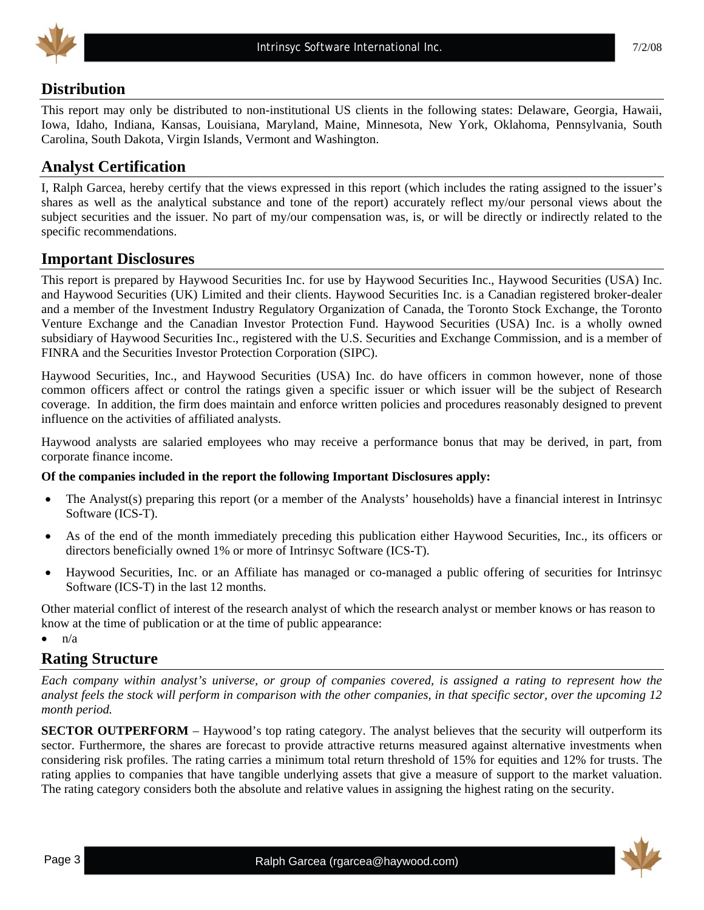

## **Distribution**

This report may only be distributed to non-institutional US clients in the following states: Delaware, Georgia, Hawaii, Iowa, Idaho, Indiana, Kansas, Louisiana, Maryland, Maine, Minnesota, New York, Oklahoma, Pennsylvania, South Carolina, South Dakota, Virgin Islands, Vermont and Washington.

## **Analyst Certification**

I, Ralph Garcea, hereby certify that the views expressed in this report (which includes the rating assigned to the issuer's shares as well as the analytical substance and tone of the report) accurately reflect my/our personal views about the subject securities and the issuer. No part of my/our compensation was, is, or will be directly or indirectly related to the specific recommendations.

## **Important Disclosures**

This report is prepared by Haywood Securities Inc. for use by Haywood Securities Inc., Haywood Securities (USA) Inc. and Haywood Securities (UK) Limited and their clients. Haywood Securities Inc. is a Canadian registered broker-dealer and a member of the Investment Industry Regulatory Organization of Canada, the Toronto Stock Exchange, the Toronto Venture Exchange and the Canadian Investor Protection Fund. Haywood Securities (USA) Inc. is a wholly owned subsidiary of Haywood Securities Inc., registered with the U.S. Securities and Exchange Commission, and is a member of FINRA and the Securities Investor Protection Corporation (SIPC).

Haywood Securities, Inc., and Haywood Securities (USA) Inc. do have officers in common however, none of those common officers affect or control the ratings given a specific issuer or which issuer will be the subject of Research coverage. In addition, the firm does maintain and enforce written policies and procedures reasonably designed to prevent influence on the activities of affiliated analysts.

Haywood analysts are salaried employees who may receive a performance bonus that may be derived, in part, from corporate finance income.

#### **Of the companies included in the report the following Important Disclosures apply:**

- The Analyst(s) preparing this report (or a member of the Analysts' households) have a financial interest in Intrinsyc Software (ICS-T).
- As of the end of the month immediately preceding this publication either Haywood Securities, Inc., its officers or directors beneficially owned 1% or more of Intrinsyc Software (ICS-T).
- Haywood Securities, Inc. or an Affiliate has managed or co-managed a public offering of securities for Intrinsyc Software (ICS-T) in the last 12 months.

Other material conflict of interest of the research analyst of which the research analyst or member knows or has reason to know at the time of publication or at the time of public appearance:

 $\bullet$   $n/a$ 

## **Rating Structure**

*Each company within analyst's universe, or group of companies covered, is assigned a rating to represent how the analyst feels the stock will perform in comparison with the other companies, in that specific sector, over the upcoming 12 month period.* 

**SECTOR OUTPERFORM** – Haywood's top rating category. The analyst believes that the security will outperform its sector. Furthermore, the shares are forecast to provide attractive returns measured against alternative investments when considering risk profiles. The rating carries a minimum total return threshold of 15% for equities and 12% for trusts. The rating applies to companies that have tangible underlying assets that give a measure of support to the market valuation. The rating category considers both the absolute and relative values in assigning the highest rating on the security.

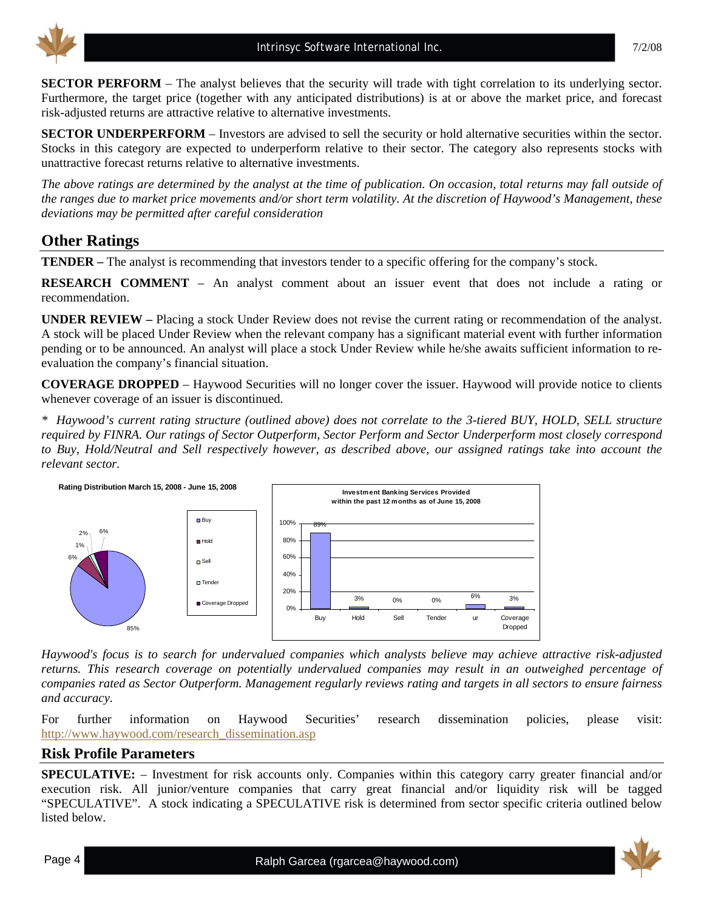

**SECTOR PERFORM** – The analyst believes that the security will trade with tight correlation to its underlying sector. Furthermore, the target price (together with any anticipated distributions) is at or above the market price, and forecast risk-adjusted returns are attractive relative to alternative investments.

**SECTOR UNDERPERFORM** – Investors are advised to sell the security or hold alternative securities within the sector. Stocks in this category are expected to underperform relative to their sector. The category also represents stocks with unattractive forecast returns relative to alternative investments.

*The above ratings are determined by the analyst at the time of publication. On occasion, total returns may fall outside of the ranges due to market price movements and/or short term volatility. At the discretion of Haywood's Management, these deviations may be permitted after careful consideration* 

## **Other Ratings**

**TENDER –** The analyst is recommending that investors tender to a specific offering for the company's stock.

**RESEARCH COMMENT** – An analyst comment about an issuer event that does not include a rating or recommendation.

**UNDER REVIEW –** Placing a stock Under Review does not revise the current rating or recommendation of the analyst. A stock will be placed Under Review when the relevant company has a significant material event with further information pending or to be announced. An analyst will place a stock Under Review while he/she awaits sufficient information to reevaluation the company's financial situation.

**COVERAGE DROPPED** – Haywood Securities will no longer cover the issuer. Haywood will provide notice to clients whenever coverage of an issuer is discontinued.

*\* Haywood's current rating structure (outlined above) does not correlate to the 3-tiered BUY, HOLD, SELL structure required by FINRA. Our ratings of Sector Outperform, Sector Perform and Sector Underperform most closely correspond to Buy, Hold/Neutral and Sell respectively however, as described above, our assigned ratings take into account the relevant sector.* 



*Haywood's focus is to search for undervalued companies which analysts believe may achieve attractive risk-adjusted returns. This research coverage on potentially undervalued companies may result in an outweighed percentage of companies rated as Sector Outperform. Management regularly reviews rating and targets in all sectors to ensure fairness and accuracy.* 

For further information on Haywood Securities' research dissemination policies, please visit: [http://www.haywood.com/research\\_dissemination.asp](http://www.haywood.com/research_dissemination.asp)

## **Risk Profile Parameters**

**SPECULATIVE:** – Investment for risk accounts only. Companies within this category carry greater financial and/or execution risk. All junior/venture companies that carry great financial and/or liquidity risk will be tagged "SPECULATIVE". A stock indicating a SPECULATIVE risk is determined from sector specific criteria outlined below listed below.